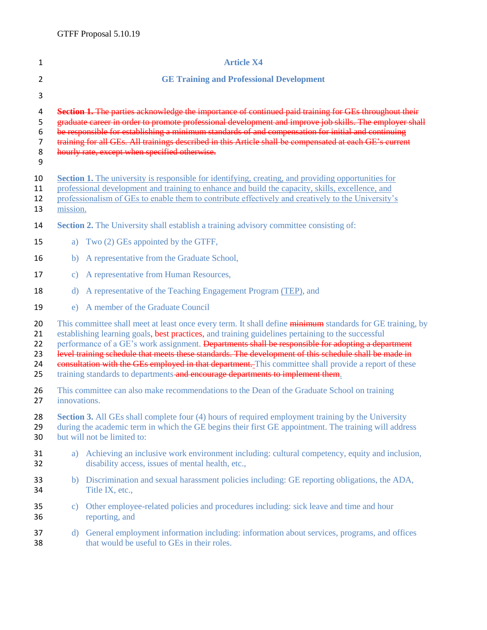| 1                                                                                                                                                                                                                                                                                                                                                                                                                                                                                                                                                                                                                       |                                                                                                                                                                                                                                                                                                                                                                                                                                                                                    | <b>Article X4</b>                                                                                                                                                                                      |  |
|-------------------------------------------------------------------------------------------------------------------------------------------------------------------------------------------------------------------------------------------------------------------------------------------------------------------------------------------------------------------------------------------------------------------------------------------------------------------------------------------------------------------------------------------------------------------------------------------------------------------------|------------------------------------------------------------------------------------------------------------------------------------------------------------------------------------------------------------------------------------------------------------------------------------------------------------------------------------------------------------------------------------------------------------------------------------------------------------------------------------|--------------------------------------------------------------------------------------------------------------------------------------------------------------------------------------------------------|--|
| $\overline{2}$                                                                                                                                                                                                                                                                                                                                                                                                                                                                                                                                                                                                          |                                                                                                                                                                                                                                                                                                                                                                                                                                                                                    | <b>GE Training and Professional Development</b>                                                                                                                                                        |  |
| 3                                                                                                                                                                                                                                                                                                                                                                                                                                                                                                                                                                                                                       |                                                                                                                                                                                                                                                                                                                                                                                                                                                                                    |                                                                                                                                                                                                        |  |
| 4<br>5<br>6<br>7<br>8<br>9                                                                                                                                                                                                                                                                                                                                                                                                                                                                                                                                                                                              | Section 1. The parties acknowledge the importance of continued paid training for GEs throughout their<br>graduate career in order to promote professional development and improve job skills. The employer shall<br>be responsible for establishing a minimum standards of and compensation for initial and continuing<br>training for all GEs. All trainings described in this Article shall be compensated at each GE's current<br>hourly rate, except when specified otherwise. |                                                                                                                                                                                                        |  |
| 10                                                                                                                                                                                                                                                                                                                                                                                                                                                                                                                                                                                                                      |                                                                                                                                                                                                                                                                                                                                                                                                                                                                                    | <b>Section 1.</b> The university is responsible for identifying, creating, and providing opportunities for                                                                                             |  |
|                                                                                                                                                                                                                                                                                                                                                                                                                                                                                                                                                                                                                         |                                                                                                                                                                                                                                                                                                                                                                                                                                                                                    | professional development and training to enhance and build the capacity, skills, excellence, and<br>professionalism of GEs to enable them to contribute effectively and creatively to the University's |  |
|                                                                                                                                                                                                                                                                                                                                                                                                                                                                                                                                                                                                                         | mission.                                                                                                                                                                                                                                                                                                                                                                                                                                                                           |                                                                                                                                                                                                        |  |
|                                                                                                                                                                                                                                                                                                                                                                                                                                                                                                                                                                                                                         |                                                                                                                                                                                                                                                                                                                                                                                                                                                                                    | <b>Section 2.</b> The University shall establish a training advisory committee consisting of:                                                                                                          |  |
|                                                                                                                                                                                                                                                                                                                                                                                                                                                                                                                                                                                                                         |                                                                                                                                                                                                                                                                                                                                                                                                                                                                                    | a) Two (2) GEs appointed by the GTFF,                                                                                                                                                                  |  |
|                                                                                                                                                                                                                                                                                                                                                                                                                                                                                                                                                                                                                         | b)                                                                                                                                                                                                                                                                                                                                                                                                                                                                                 | A representative from the Graduate School,                                                                                                                                                             |  |
|                                                                                                                                                                                                                                                                                                                                                                                                                                                                                                                                                                                                                         | $\mathbf{c})$                                                                                                                                                                                                                                                                                                                                                                                                                                                                      | A representative from Human Resources,                                                                                                                                                                 |  |
|                                                                                                                                                                                                                                                                                                                                                                                                                                                                                                                                                                                                                         | d)                                                                                                                                                                                                                                                                                                                                                                                                                                                                                 | A representative of the Teaching Engagement Program (TEP), and                                                                                                                                         |  |
|                                                                                                                                                                                                                                                                                                                                                                                                                                                                                                                                                                                                                         | e)                                                                                                                                                                                                                                                                                                                                                                                                                                                                                 | A member of the Graduate Council                                                                                                                                                                       |  |
| This committee shall meet at least once every term. It shall define minimum standards for GE training, by<br>establishing learning goals, best practices, and training guidelines pertaining to the successful<br>performance of a GE's work assignment. Departments shall be responsible for adopting a department<br>level training schedule that meets these standards. The development of this schedule shall be made in<br>consultation with the GEs employed in that department. This committee shall provide a report of these<br>training standards to departments-and encourage departments to implement them. |                                                                                                                                                                                                                                                                                                                                                                                                                                                                                    |                                                                                                                                                                                                        |  |
|                                                                                                                                                                                                                                                                                                                                                                                                                                                                                                                                                                                                                         | innovations.                                                                                                                                                                                                                                                                                                                                                                                                                                                                       | This committee can also make recommendations to the Dean of the Graduate School on training                                                                                                            |  |
| <b>Section 3.</b> All GEs shall complete four (4) hours of required employment training by the University<br>during the academic term in which the GE begins their first GE appointment. The training will address<br>but will not be limited to:                                                                                                                                                                                                                                                                                                                                                                       |                                                                                                                                                                                                                                                                                                                                                                                                                                                                                    |                                                                                                                                                                                                        |  |
|                                                                                                                                                                                                                                                                                                                                                                                                                                                                                                                                                                                                                         | a)                                                                                                                                                                                                                                                                                                                                                                                                                                                                                 | Achieving an inclusive work environment including: cultural competency, equity and inclusion,<br>disability access, issues of mental health, etc.,                                                     |  |
|                                                                                                                                                                                                                                                                                                                                                                                                                                                                                                                                                                                                                         |                                                                                                                                                                                                                                                                                                                                                                                                                                                                                    | b) Discrimination and sexual harassment policies including: GE reporting obligations, the ADA,<br>Title IX, etc.,                                                                                      |  |
|                                                                                                                                                                                                                                                                                                                                                                                                                                                                                                                                                                                                                         | C)                                                                                                                                                                                                                                                                                                                                                                                                                                                                                 | Other employee-related policies and procedures including: sick leave and time and hour<br>reporting, and                                                                                               |  |
|                                                                                                                                                                                                                                                                                                                                                                                                                                                                                                                                                                                                                         |                                                                                                                                                                                                                                                                                                                                                                                                                                                                                    | d) General employment information including: information about services, programs, and offices<br>that would be useful to GEs in their roles.                                                          |  |